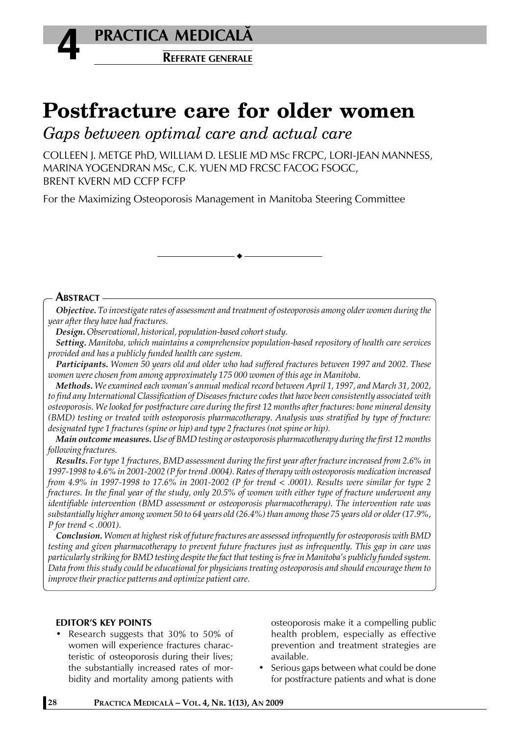

# **Postfracture care for older women**

*Gaps between optimal care and actual care*

COLLEEN J. METGE PhD, WILLIAM D. LESLIE MD MSc FRCPC, LORI-JEAN MANNESS, MARINA YOGENDRAN MSc, C.K. YUEN MD FRCSC FACOG FSOGC, BRENT KVERN MD CCFP FCFP

For the Maximizing Osteoporosis Management in Manitoba Steering Committee

#### **ABSTRACT**

*Objective. To investigate rates of assessment and treatment of osteoporosis among older women during the year after they have had fractures.*

*Design. Observational, historical, population-based cohort study.*

*Setting. Manitoba, which maintains a comprehensive population-based repository of health care services provided and has a publicly funded health care system.*

*Participants. Women 50 years old and older who had suffered fractures between 1997 and 2002. These women were chosen from among approximately 175 000 women of this age in Manitoba.*

*Methods. We examined each woman's annual medical record between April 1, 1997, and March 31, 2002, to find any International Classification of Diseases fracture codes that have been consistently associated with osteoporosis. We looked for postfracture care during the first 12 months after fractures: bone mineral density (BMD) testing or treated with osteoporosis pharmacotherapy. Analysis was stratified by type of fracture: designated type 1 fractures (spine or hip) and type 2 fractures (not spine or hip).*

*Main outcome measures. Use of BMD testing or osteoporosis pharmacotherapy during the first 12 months following fractures.*

*Results. For type 1 fractures, BMD assessment during the first year after fracture increased from 2.6% in 1997-1998 to 4.6% in 2001-2002 (P for trend .0004). Rates of therapy with osteoporosis medication increased from 4.9% in 1997-1998 to 17.6% in 2001-2002 (P for trend < .0001). Results were similar for type 2 fractures. In the final year of the study, only 20.5% of women with either type of fracture underwent any identifiable intervention (BMD assessment or osteoporosis pharmacotherapy). The intervention rate was substantially higher among women 50 to 64 years old (26.4%) than among those 75 years old or older (17.9%, P for trend < .0001).*

*Conclusion. Women at highest risk of future fractures are assessed infrequently for osteoporosis with BMD testing and given pharmacotherapy to prevent future fractures just as infrequently. This gap in care was particularly striking for BMD testing despite the fact that testing is free in Manitoba's publicly funded system. Data from this study could be educational for physicians treating osteoporosis and should encourage them to improve their practice patterns and optimize patient care.*

# **EDITOR'S KEY POINTS**

• Research suggests that 30% to 50% of women will experience fractures characteristic of osteoporosis during their lives; the substantially increased rates of morbidity and mortality among patients with

osteoporosis make it a compelling public health problem, especially as effective prevention and treatment strategies are available.

Serious gaps between what could be done for postfracture patients and what is done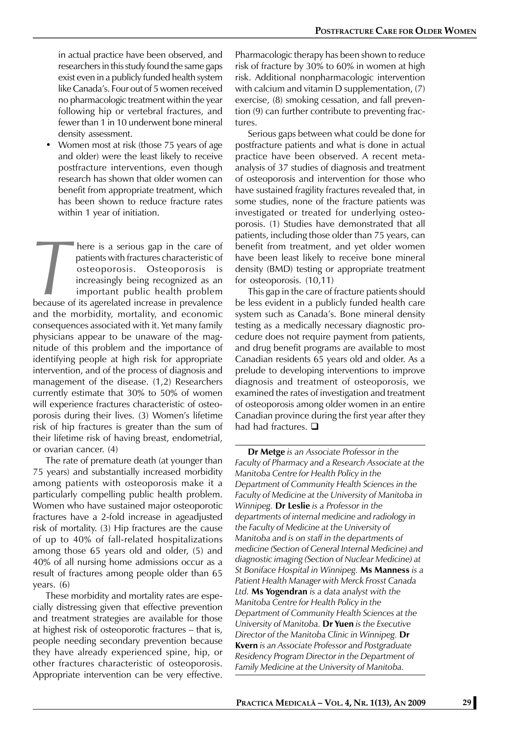in actual practice have been observed, and researchers in this study found the same gaps exist even in a publicly funded health system like Canada's. Four out of 5 women received no pharmacologic treatment within the year following hip or vertebral fractures, and fewer than 1 in 10 underwent bone mineral density assessment.

• Women most at risk (those 75 years of age and older) were the least likely to receive postfracture interventions, even though research has shown that older women can benefit from appropriate treatment, which has been shown to reduce fracture rates within 1 year of initiation.

**There is a serious gap in the care of**<br>patients with fractures characteristic of<br>osteoporosis. Osteoporosis is<br>increasingly being recognized as an<br>important public health problem<br>because of its agerelated increase in prev patients with fractures characteristic of osteoporosis. Osteoporosis is increasingly being recognized as an important public health problem because of its agerelated increase in prevalence and the morbidity, mortality, and economic consequences associated with it. Yet many family physicians appear to be unaware of the magnitude of this problem and the importance of identifying people at high risk for appropriate intervention, and of the process of diagnosis and management of the disease. (1,2) Researchers currently estimate that 30% to 50% of women will experience fractures characteristic of osteoporosis during their lives. (3) Women's lifetime risk of hip fractures is greater than the sum of their lifetime risk of having breast, endometrial, or ovarian cancer. (4)

The rate of premature death (at younger than 75 years) and substantially increased morbidity among patients with osteoporosis make it a particularly compelling public health problem. Women who have sustained major osteoporotic fractures have a 2-fold increase in ageadjusted risk of mortality. (3) Hip fractures are the cause of up to 40% of fall-related hospitalizations among those 65 years old and older, (5) and 40% of all nursing home admissions occur as a result of fractures among people older than 65 years. (6)

These morbidity and mortality rates are especially distressing given that effective prevention and treatment strategies are available for those at highest risk of osteoporotic fractures – that is, people needing secondary prevention because they have already experienced spine, hip, or other fractures characteristic of osteoporosis. Appropriate intervention can be very effective. Pharmacologic therapy has been shown to reduce risk of fracture by 30% to 60% in women at high risk. Additional nonpharmacologic intervention with calcium and vitamin D supplementation, (7) exercise, (8) smoking cessation, and fall prevention (9) can further contribute to preventing fractures.

Serious gaps between what could be done for postfracture patients and what is done in actual practice have been observed. A recent metaanalysis of 37 studies of diagnosis and treatment of osteoporosis and intervention for those who have sustained fragility fractures revealed that, in some studies, none of the fracture patients was investigated or treated for underlying osteoporosis. (1) Studies have demonstrated that all patients, including those older than 75 years, can benefit from treatment, and yet older women have been least likely to receive bone mineral density (BMD) testing or appropriate treatment for osteoporosis. (10,11)

This gap in the care of fracture patients should be less evident in a publicly funded health care system such as Canada's. Bone mineral density testing as a medically necessary diagnostic procedure does not require payment from patients, and drug benefit programs are available to most Canadian residents 65 years old and older. As a prelude to developing interventions to improve diagnosis and treatment of osteoporosis, we examined the rates of investigation and treatment of osteoporosis among older women in an entire Canadian province during the first year after they had had fractures.  $\square$ 

**Dr Metge** *is an Associate Professor in the Faculty of Pharmacy and a Research Associate at the Manitoba Centre for Health Policy in the Department of Community Health Sciences in the Faculty of Medicine at the University of Manitoba in Winnipeg.* **Dr Leslie** *is a Professor in the departments of internal medicine and radiology in the Faculty of Medicine at the University of Manitoba and is on staff in the departments of medicine (Section of General Internal Medicine) and diagnostic imaging (Section of Nuclear Medicine) at St Boniface Hospital in Winnipeg.* **Ms Manness** *is a Patient Health Manager with Merck Frosst Canada Ltd.* **Ms Yogendran** *is a data analyst with the Manitoba Centre for Health Policy in the Department of Community Health Sciences at the University of Manitoba.* **Dr Yuen** *is the Executive Director of the Manitoba Clinic in Winnipeg.* **Dr Kvern** *is an Associate Professor and Postgraduate Residency Program Director in the Department of Family Medicine at the University of Manitoba.*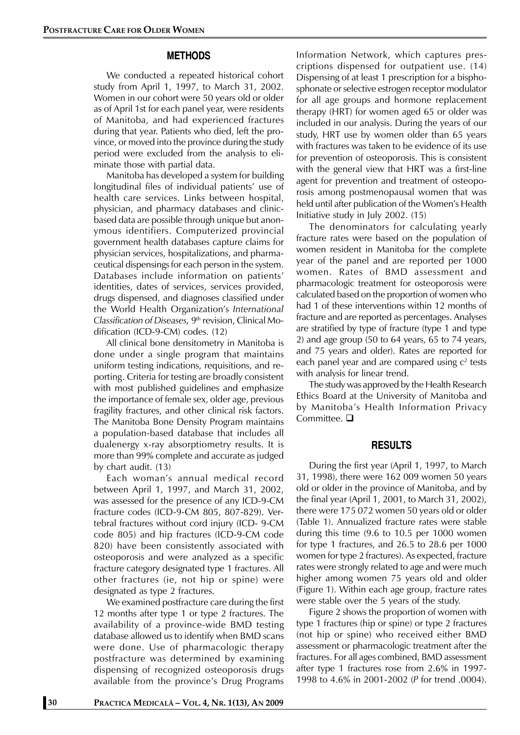## **METHODS**

We conducted a repeated historical cohort study from April 1, 1997, to March 31, 2002. Women in our cohort were 50 years old or older as of April 1st for each panel year, were residents of Manitoba, and had experienced fractures during that year. Patients who died, left the province, or moved into the province during the study period were excluded from the analysis to eliminate those with partial data.

Manitoba has developed a system for building longitudinal files of individual patients' use of health care services. Links between hospital, physician, and pharmacy databases and clinicbased data are possible through unique but anonymous identifiers. Computerized provincial government health databases capture claims for physician services, hospitalizations, and pharmaceutical dispensings for each person in the system. Databases include information on patients' identities, dates of services, services provided, drugs dispensed, and diagnoses classified under the World Health Organization's *International Classification of Diseases,* 9th revision, Clinical Modification (ICD-9-CM) codes. (12)

All clinical bone densitometry in Manitoba is done under a single program that maintains uniform testing indications, requisitions, and reporting. Criteria for testing are broadly consistent with most published guidelines and emphasize the importance of female sex, older age, previous fragility fractures, and other clinical risk factors. The Manitoba Bone Density Program maintains a population-based database that includes all dualenergy x-ray absorptiometry results. It is more than 99% complete and accurate as judged by chart audit. (13)

Each woman's annual medical record between April 1, 1997, and March 31, 2002, was assessed for the presence of any ICD-9-CM fracture codes (ICD-9-CM 805, 807-829). Vertebral fractures without cord injury (ICD- 9-CM code 805) and hip fractures (ICD-9-CM code 820) have been consistently associated with osteoporosis and were analyzed as a specific fracture category designated type 1 fractures. All other fractures (ie, not hip or spine) were designated as type 2 fractures.

We examined postfracture care during the first 12 months after type 1 or type 2 fractures. The availability of a province-wide BMD testing database allowed us to identify when BMD scans were done. Use of pharmacologic therapy postfracture was determined by examining dispensing of recognized osteoporosis drugs available from the province's Drug Programs

Information Network, which captures prescriptions dispensed for outpatient use. (14) Dispensing of at least 1 prescription for a bisphosphonate or selective estrogen receptor modulator for all age groups and hormone replacement therapy (HRT) for women aged 65 or older was included in our analysis. During the years of our study, HRT use by women older than 65 years with fractures was taken to be evidence of its use for prevention of osteoporosis. This is consistent with the general view that HRT was a first-line agent for prevention and treatment of osteoporosis among postmenopausal women that was held until after publication of the Women's Health Initiative study in July 2002. (15)

The denominators for calculating yearly fracture rates were based on the population of women resident in Manitoba for the complete year of the panel and are reported per 1000 women. Rates of BMD assessment and pharmacologic treatment for osteoporosis were calculated based on the proportion of women who had 1 of these interventions within 12 months of fracture and are reported as percentages. Analyses are stratified by type of fracture (type 1 and type 2) and age group (50 to 64 years, 65 to 74 years, and 75 years and older). Rates are reported for each panel year and are compared using c<sup>2</sup> tests with analysis for linear trend.

The study was approved by the Health Research Ethics Board at the University of Manitoba and by Manitoba's Health Information Privacy Committee.  $\square$ 

#### **RESULTS**

During the first year (April 1, 1997, to March 31, 1998), there were 162 009 women 50 years old or older in the province of Manitoba, and by the final year (April 1, 2001, to March 31, 2002), there were 175 072 women 50 years old or older (Table 1). Annualized fracture rates were stable during this time (9.6 to 10.5 per 1000 women for type 1 fractures, and 26.5 to 28.6 per 1000 women for type 2 fractures). As expected, fracture rates were strongly related to age and were much higher among women 75 years old and older (Figure 1). Within each age group, fracture rates were stable over the 5 years of the study.

Figure 2 shows the proportion of women with type 1 fractures (hip or spine) or type 2 fractures (not hip or spine) who received either BMD assessment or pharmacologic treatment after the fractures. For all ages combined, BMD assessment after type 1 fractures rose from 2.6% in 1997- 1998 to 4.6% in 2001-2002 (*P* for trend .0004).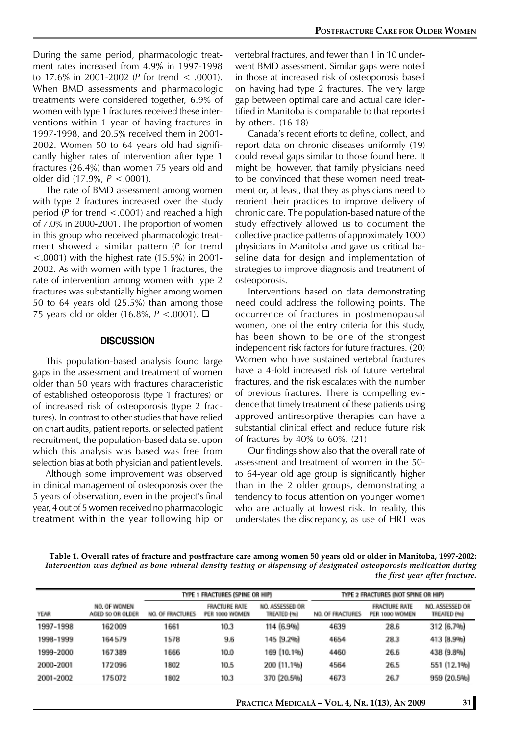During the same period, pharmacologic treatment rates increased from 4.9% in 1997-1998 to 17.6% in 2001-2002 (*P* for trend < .0001). When BMD assessments and pharmacologic treatments were considered together, 6.9% of women with type 1 fractures received these interventions within 1 year of having fractures in 1997-1998, and 20.5% received them in 2001- 2002. Women 50 to 64 years old had significantly higher rates of intervention after type 1 fractures (26.4%) than women 75 years old and older did (17.9%, *P* <.0001).

The rate of BMD assessment among women with type 2 fractures increased over the study period (*P* for trend <.0001) and reached a high of 7.0% in 2000-2001. The proportion of women in this group who received pharmacologic treatment showed a similar pattern (*P* for trend  $\leq$ .0001) with the highest rate (15.5%) in 2001-2002. As with women with type 1 fractures, the rate of intervention among women with type 2 fractures was substantially higher among women 50 to 64 years old (25.5%) than among those 75 years old or older (16.8%, *P* <.0001). **□** 

# **DISCUSSION**

This population-based analysis found large gaps in the assessment and treatment of women older than 50 years with fractures characteristic of established osteoporosis (type 1 fractures) or of increased risk of osteoporosis (type 2 fractures). In contrast to other studies that have relied on chart audits, patient reports, or selected patient recruitment, the population-based data set upon which this analysis was based was free from selection bias at both physician and patient levels.

Although some improvement was observed in clinical management of osteoporosis over the 5 years of observation, even in the project's final year, 4 out of 5 women received no pharmacologic treatment within the year following hip or

vertebral fractures, and fewer than 1 in 10 underwent BMD assessment. Similar gaps were noted in those at increased risk of osteoporosis based on having had type 2 fractures. The very large gap between optimal care and actual care identified in Manitoba is comparable to that reported by others. (16-18)

Canada's recent efforts to define, collect, and report data on chronic diseases uniformly (19) could reveal gaps similar to those found here. It might be, however, that family physicians need to be convinced that these women need treatment or, at least, that they as physicians need to reorient their practices to improve delivery of chronic care. The population-based nature of the study effectively allowed us to document the collective practice patterns of approximately 1000 physicians in Manitoba and gave us critical baseline data for design and implementation of strategies to improve diagnosis and treatment of osteoporosis.

Interventions based on data demonstrating need could address the following points. The occurrence of fractures in postmenopausal women, one of the entry criteria for this study, has been shown to be one of the strongest independent risk factors for future fractures. (20) Women who have sustained vertebral fractures have a 4-fold increased risk of future vertebral fractures, and the risk escalates with the number of previous fractures. There is compelling evidence that timely treatment of these patients using approved antiresorptive therapies can have a substantial clinical effect and reduce future risk of fractures by 40% to 60%. (21)

Our findings show also that the overall rate of assessment and treatment of women in the 50 to 64-year old age group is significantly higher than in the 2 older groups, demonstrating a tendency to focus attention on younger women who are actually at lowest risk. In reality, this understates the discrepancy, as use of HRT was

**Table 1. Overall rates of fracture and postfracture care among women 50 years old or older in Manitoba, 1997-2002:** *Intervention was defined as bone mineral density testing or dispensing of designated osteoporosis medication during the first year after fracture.*

|             |                                  | TYPE 1 FRACTURES (SPINE OR HIP) |                                        |                                | TYPE 2 FRACTURES (NOT SPINE OR HIP) |                                        |                                       |
|-------------|----------------------------------|---------------------------------|----------------------------------------|--------------------------------|-------------------------------------|----------------------------------------|---------------------------------------|
| <b>YEAR</b> | NO. OF WOMEN<br>AGED 50 OR OLDER | NO. OF FRACTURES                | <b>FRACTURE RATE</b><br>PER 1000 WOMEN | NO. ASSESSED OR<br>TREATED (%) | NO. OF FRACTURES                    | <b>FRACTURE RATE</b><br>PER 1000 WOMEN | NO. ASSESSED OR<br><b>TREATED PRO</b> |
| 1997-1998   | 162009                           | 1661                            | 10.3                                   | 114 (6.9%)                     | 4639                                | 28.6                                   | 312 (6.7%)                            |
| 1998-1999   | 164579                           | 1578                            | 9.6                                    | 145 (9.2%)                     | 4654                                | 28.3                                   | 413 [8.9%]                            |
| 1999-2000   | 167389                           | 1666                            | 10.0                                   | 169 (10.1%)                    | 4460                                | 26.6                                   | 438 (9.8%)                            |
| 2000-2001   | 172096                           | 1802                            | 10.5                                   | 200 (11.1%)                    | 4564                                | 26.5                                   | 551 (12.1%)                           |
| 2001-2002   | 175072                           | 1802                            | 10.3                                   | 370 (20.5%)                    | 4673                                | 26.7                                   | 959 (20.5%)                           |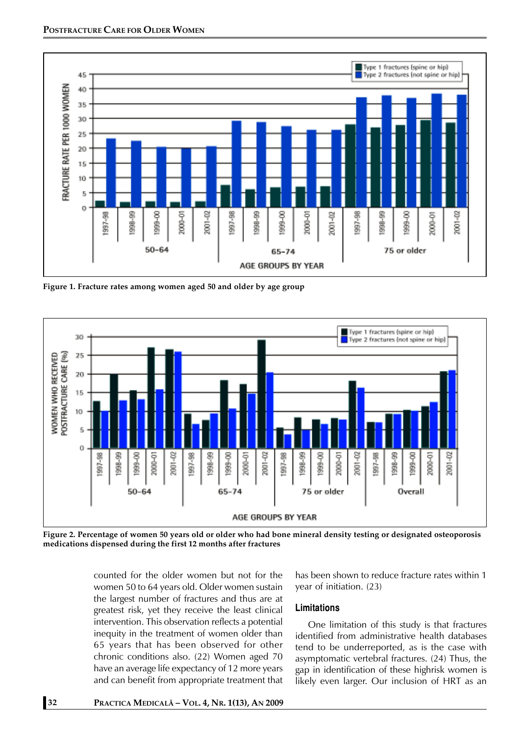

**Figure 1. Fracture rates among women aged 50 and older by age group**



**Figure 2. Percentage of women 50 years old or older who had bone mineral density testing or designated osteoporosis medications dispensed during the first 12 months after fractures**

counted for the older women but not for the women 50 to 64 years old. Older women sustain the largest number of fractures and thus are at greatest risk, yet they receive the least clinical intervention. This observation reflects a potential inequity in the treatment of women older than 65 years that has been observed for other chronic conditions also. (22) Women aged 70 have an average life expectancy of 12 more years and can benefit from appropriate treatment that

has been shown to reduce fracture rates within 1 year of initiation. (23)

# **Limitations**

One limitation of this study is that fractures identified from administrative health databases tend to be underreported, as is the case with asymptomatic vertebral fractures. (24) Thus, the gap in identification of these highrisk women is likely even larger. Our inclusion of HRT as an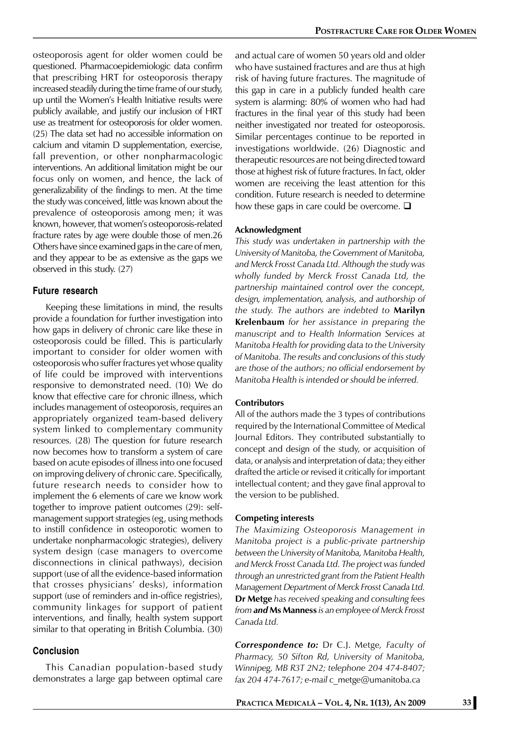osteoporosis agent for older women could be questioned. Pharmacoepidemiologic data confirm that prescribing HRT for osteoporosis therapy increased steadily during the time frame of our study, up until the Women's Health Initiative results were publicly available, and justify our inclusion of HRT use as treatment for osteoporosis for older women. (25) The data set had no accessible information on calcium and vitamin D supplementation, exercise, fall prevention, or other nonpharmacologic interventions. An additional limitation might be our focus only on women, and hence, the lack of generalizability of the findings to men. At the time the study was conceived, little was known about the prevalence of osteoporosis among men; it was known, however, that women's osteoporosis-related fracture rates by age were double those of men.26 Others have since examined gaps in the care of men, and they appear to be as extensive as the gaps we observed in this study. (27)

# **Future research**

Keeping these limitations in mind, the results provide a foundation for further investigation into how gaps in delivery of chronic care like these in osteoporosis could be filled. This is particularly important to consider for older women with osteoporosis who suffer fractures yet whose quality of life could be improved with interventions responsive to demonstrated need. (10) We do know that effective care for chronic illness, which includes management of osteoporosis, requires an appropriately organized team-based delivery system linked to complementary community resources. (28) The question for future research now becomes how to transform a system of care based on acute episodes of illness into one focused on improving delivery of chronic care. Specifically, future research needs to consider how to implement the 6 elements of care we know work together to improve patient outcomes (29): selfmanagement support strategies (eg, using methods to instill confidence in osteoporotic women to undertake nonpharmacologic strategies), delivery system design (case managers to overcome disconnections in clinical pathways), decision support (use of all the evidence-based information that crosses physicians' desks), information support (use of reminders and in-office registries), community linkages for support of patient interventions, and finally, health system support similar to that operating in British Columbia. (30)

# **Conclusion**

This Canadian population-based study demonstrates a large gap between optimal care

and actual care of women 50 years old and older who have sustained fractures and are thus at high risk of having future fractures. The magnitude of this gap in care in a publicly funded health care system is alarming: 80% of women who had had fractures in the final year of this study had been neither investigated nor treated for osteoporosis. Similar percentages continue to be reported in investigations worldwide. (26) Diagnostic and therapeutic resources are not being directed toward those at highest risk of future fractures. In fact, older women are receiving the least attention for this condition. Future research is needed to determine how these gaps in care could be overcome.  $\Box$ 

#### **Acknowledgment**

*This study was undertaken in partnership with the University of Manitoba, the Government of Manitoba, and Merck Frosst Canada Ltd. Although the study was wholly funded by Merck Frosst Canada Ltd, the partnership maintained control over the concept, design, implementation, analysis, and authorship of the study. The authors are indebted to* **Marilyn Krelenbaum** *for her assistance in preparing the manuscript and to Health Information Services at Manitoba Health for providing data to the University of Manitoba. The results and conclusions of this study are those of the authors; no official endorsement by Manitoba Health is intended or should be inferred.*

#### **Contributors**

All of the authors made the 3 types of contributions required by the International Committee of Medical Journal Editors. They contributed substantially to concept and design of the study, or acquisition of data, or analysis and interpretation of data; they either drafted the article or revised it critically for important intellectual content; and they gave final approval to the version to be published.

#### **Competing interests**

*The Maximizing Osteoporosis Management in Manitoba project is a public-private partnership between the University of Manitoba, Manitoba Health, and Merck Frosst Canada Ltd. The project was funded through an unrestricted grant from the Patient Health Management Department of Merck Frosst Canada Ltd.* **Dr Metge** *has received speaking and consulting fees from and* **Ms Manness** *is an employee of Merck Frosst Canada Ltd.*

*Correspondence to:* Dr C.J. Metge*, Faculty of Pharmacy, 50 Sifton Rd, University of Manitoba, Winnipeg, MB R3T 2N2; telephone 204 474-8407; fax 204 474-7617; e-mail* c\_metge@umanitoba.ca